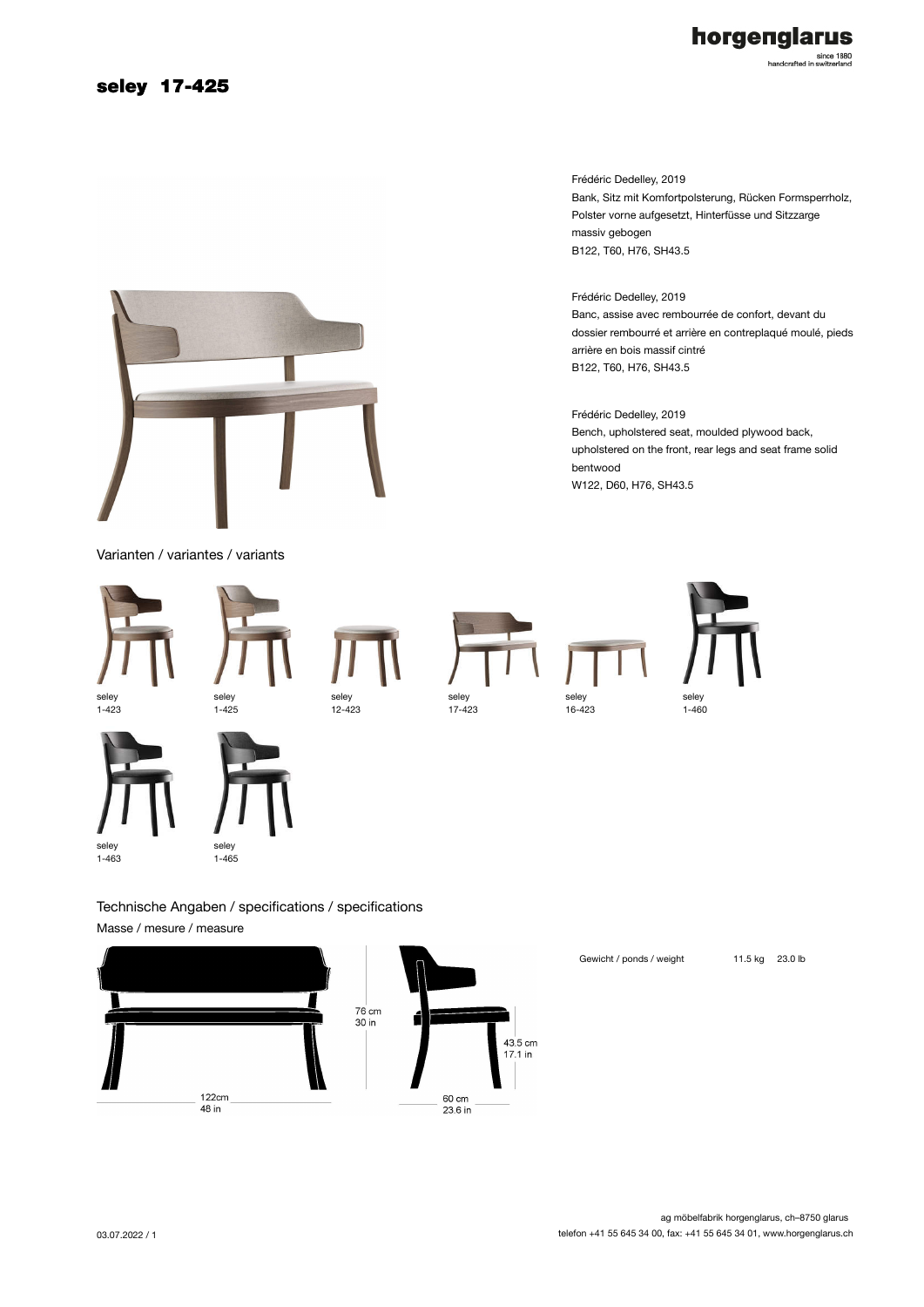## seley 17-425

# horgenglarus

since 1880<br>handcrafted in switzerland

Frédéric Dedelley, 2019 Bank, Sitz mit Komfortpolsterung, Rücken Formsperrholz, Polster vorne aufgesetzt, Hinterfüsse und Sitzzarge massiv gebogen B122, T60, H76, SH43.5

Frédéric Dedelley, 2019 Banc, assise avec rembourrée de confort, devant du dossier rembourré et arrière en contreplaqué moulé, pieds arrière en bois massif cintré B122, T60, H76, SH43.5

Frédéric Dedelley, 2019 Bench, upholstered seat, moulded plywood back, upholstered on the front, rear legs and seat frame solid bentwood W122, D60, H76, SH43.5



Technische Angaben / specifications / specifications Masse / mesure / measure





Gewicht / ponds / weight 11.5 kg 23.0 lb







03.07.2022 / 1



seley 1-465